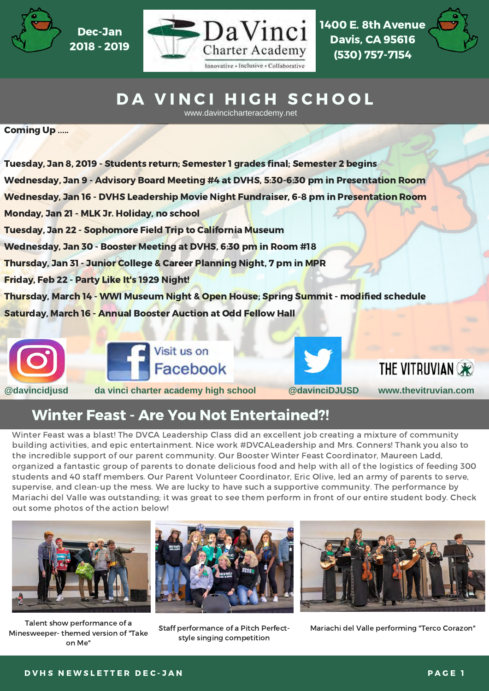

 2018 - 2019 Dec-Jan



 1400 E. 8th Avenue Davis, CA 95616 (530) 757-7154



# DA VINCI HIGH SCHOOL

www.davincicharteracdemy.net

Coming Up .....

 Tuesday, Jan 8, 2019 - Students return; Semester 1 grades final; Semester 2 begins Wednesday, Jan 9 - Advisory Board Meeting #4 at DVHS, 5:30-6:30 pm in Presentation Room Wednesday, Jan 16 - DVHS Leadership Movie Night Fundraiser, 6-8 pm in Presentation Room Monday, Jan 21 - MLK Jr. Holiday, no school Tuesday, Jan 22 - Sophomore Field Trip to California Museum Wednesday, Jan 30 - Booster Meeting at DVHS, 6:30 pm in Room #18 Thursday, Jan 31 - Junior College & Career Planning Night, 7 pm in MPR Friday, Feb 22 - Party Like It's 1929 Night! Thursday, March 14 - WWI Museum Night & Open House; Spring Summit - modified schedule Saturday, March 16 - Annual Booster Auction at Odd Fellow Hall



Visit us on Facebook

THE VITRUVIAN OR

# Winter Feast - Are You Not Entertained?!

 Winter Feast was a blast! The DVCA Leadership Class did an excellent job creating a mixture of community building activities, and epic entertainment. Nice work #DVCALeadership and Mrs. Conners! Thank you also to the incredible support of our parent community. Our Booster Winter Feast Coordinator, Maureen Ladd, organized a fantastic group of parents to donate delicious food and help with all of the logistics of feeding 300 students and 40 staff members. Our Parent Volunteer Coordinator, Eric Olive, led an army of parents to serve, supervise, and clean-up the mess. We are lucky to have such a supportive community. The performance by Mariachi del Valle was outstanding; it was great to see them perform in front of our entire student body. Check out some photos of the action below!



 Talent show performance of a Minesweeper- themed version of "Take on Me"



style singing competition



Staff performance of a Pitch Perfect- Mariachi del Valle performing "Terco Corazon"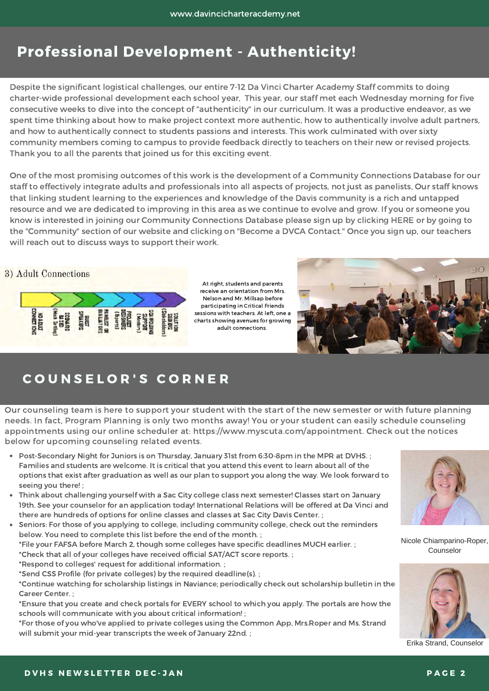# Professional Development - Authenticity!

 Despite the significant logistical challenges, our entire 7-12 Da Vinci Charter Academy Staff commits to doing charter-wide professional development each school year, This year, our staff met each Wednesday morning for five consecutive weeks to dive into the concept of "authenticity" in our curriculum. It was a productive endeavor, as we spent time thinking about how to make project context more authentic, how to authentically involve adult partners, and how to authentically connect to students passions and interests. This work culminated with over sixty community members coming to campus to provide feedback directly to teachers on their new or revised projects.  Thank you to all the parents that joined us for this exciting event.

 One of the most promising outcomes of this work is the development of a Community Connections Database for our staff to effectively integrate adults and professionals into all aspects of projects, not just as panelists, Our staff knows that linking student learning to the experiences and knowledge of the Davis community is a rich and untapped resource and we are dedicated to improving in this area as we continue to evolve and grow. If you or someone you know is interested in joining our Community Connections Database please sign up by clicking HERE or by going to the "Community" section of our website and clicking on "Become a DVCA Contact." Once you sign up, our teachers will reach out to discuss ways to support their work.<br>
) Adult Connections



At right, students and parents receive an orientation from Mrs. Nelson and Mr. Millsap before participating in Critical Friends sessions with teachers. At left, one a charts showing avenues for growing adult connections.



## C O U N S E L O R ' S C O R N E R

 Our counseling team is here to support your student with the start of the new semester or with future planning needs. In fact, Program Planning is only two months away! You or your student can easily schedule counseling appointments using our online scheduler at: https://www.myscuta.com/appointment. Check out the notices below for upcoming counseling related events.

- Post-Secondary Night for Juniors is on Thursday, January 31st from 6:30-8pm in the MPR at DVHS. ; Families and students are welcome. It is critical that you attend this event to learn about all of the options that exist after graduation as well as our plan to support you along the way. We look forward to seeing you there! ;
- Think about challenging yourself with a Sac City college class next semester! Classes start on January 19th. See your counselor for an application today! International Relations will be offered at Da Vinci and there are hundreds of options for online classes and classes at Sac City Davis Center. ;

 Seniors: For those of you applying to college, including community college, check out the reminders below. You need to complete this list before the end of the month. ; \*File your FAFSA before March 2, though some colleges have specific deadlines MUCH earlier. ; \*Check that all of your colleges have received official SAT/ACT score reports. ; \*Respond to colleges' request for additional information. ; \*Send CSS Profile (for private colleges) by the required deadline(s). ;

 \*Continue watching for scholarship listings in Naviance; periodically check out scholarship bulletin in the Career Center. ;

 \*Ensure that you create and check portals for EVERY school to which you apply. The portals are how the schools will communicate with you about critical information! ;

 \*For those of you who've applied to private colleges using the Common App, Mrs.Roper and Ms. Strand will submit your mid-year transcripts the week of January 22nd. ;



Nicole Chiamparino-Roper, Counselor



Erika Strand, Counselor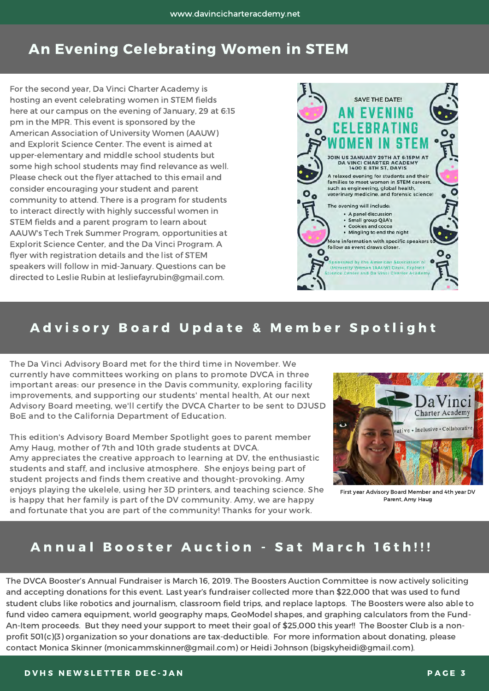# An Evening Celebrating Women in STEM

 For the second year, Da Vinci Charter Academy is hosting an event celebrating women in STEM fields here at our campus on the evening of January, 29 at 6:15 pm in the MPR. This event is sponsored by the American Association of University Women (AAUW) and Explorit Science Center. The event is aimed at upper-elementary and middle school students but some high school students may find relevance as well. Please check out the flyer attached to this email and consider encouraging your student and parent community to attend. There is a program for students to interact directly with highly successful women in STEM fields and a parent program to learn about AAUW's Tech Trek Summer Program, opportunities at Explorit Science Center, and the Da Vinci Program. A flyer with registration details and the list of STEM speakers will follow in mid-January. Questions can be directed to Leslie Rubin at lesliefayrubin@gmail.com.



### Advisory Board Update & Member Spotlight

 The Da Vinci Advisory Board met for the third time in November. We currently have committees working on plans to promote DVCA in three important areas: our presence in the Davis community, exploring facility improvements, and supporting our students' mental health, At our next Advisory Board meeting, we'll certify the DVCA Charter to be sent to DJUSD BoE and to the California Department of Education.

 This edition's Advisory Board Member Spotlight goes to parent member Amy Haug, mother of 7th and 10th grade students at DVCA. Amy appreciates the creative approach to learning at DV, the enthusiastic students and staff, and inclusive atmosphere. She enjoys being part of student projects and finds them creative and thought-provoking. Amy enjoys playing the ukelele, using her 3D printers, and teaching science. She is happy that her family is part of the DV community. Amy, we are happy and fortunate that you are part of the community! Thanks for your work.



 First year Advisory Board Member and 4th year DV Parent, Amy Haug

### Annual Booster Auction - Sat March 16th!!!

 The DVCA Booster's Annual Fundraiser is March 16, 2019. The Boosters Auction Committee is now actively soliciting and accepting donations for this event. Last year's fundraiser collected more than \$22,000 that was used to fund student clubs like robotics and journalism, classroom field trips, and replace laptops. The Boosters were also able to fund video camera equipment, world geography maps, GeoModel shapes, and graphing calculators from the Fund- An-Item proceeds. But they need your support to meet their goal of \$25,000 this year!! The Booster Club is a non- profit 501(c)(3) organization so your donations are tax-deductible. For more information about donating, please contact Monica Skinner (monicammskinner@gmail.com) or Heidi Johnson (bigskyheidi@gmail.com).

#### D V H S N E W SLETTER DEC -JAN PARTICLE TO A NOT THE RELEASED OF A NOT THE RELEASED AND RELEASED AT A NOT THE R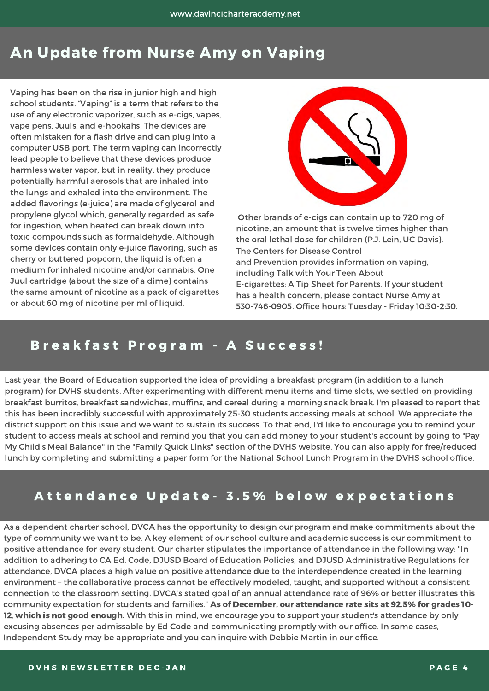# An Update from Nurse Amy on Vaping

 Vaping has been on the rise in junior high and high school students. "Vaping" is a term that refers to the use of any electronic vaporizer, such as e-cigs, vapes, vape pens, Juuls, and e-hookahs. The devices are often mistaken for a flash drive and can plug into a computer USB port. The term vaping can incorrectly lead people to believe that these devices produce harmless water vapor, but in reality, they produce potentially harmful aerosols that are inhaled into the lungs and exhaled into the environment. The added flavorings (e-juice) are made of glycerol and propylene glycol which, generally regarded as safe for ingestion, when heated can break down into toxic compounds such as formaldehyde. Although some devices contain only e-juice flavoring, such as cherry or buttered popcorn, the liquid is often a  medium for inhaled nicotine and/or cannabis. One Juul cartridge (about the size of a dime) contains the same amount of nicotine as a pack of cigarettes or about 60 mg of nicotine per ml of liquid.



 Other brands of e-cigs can contain up to 720 mg of nicotine, an amount that is twelve times higher than the oral lethal dose for children (P.J. Lein, UC Davis). The Centers for Disease Control and Prevention provides information on vaping, including Talk with Your Teen About E-cigarettes: A Tip Sheet for Parents. If your student has a health concern, please contact Nurse Amy at 530-746-0905. Office hours: Tuesday - Friday 10:30-2:30.

### B r e a k f a s t P r o g r a m - A S u c c e s s !

 Last year, the Board of Education supported the idea of providing a breakfast program (in addition to a lunch program) for DVHS students. After experimenting with different menu items and time slots, we settled on providing breakfast burritos, breakfast sandwiches, muffins, and cereal during a morning snack break. I'm pleased to report that this has been incredibly successful with approximately 25-30 students accessing meals at school. We appreciate the district support on this issue and we want to sustain its success. To that end, I'd like to encourage you to remind your student to access meals at school and remind you that you can add money to your student's account by going to "Pay My Child's Meal Balance" in the "Family Quick Links" section of the DVHS website. You can also apply for free/reduced lunch by completing and submitting a paper form for the National School Lunch Program in the DVHS school office.

## Attendance Update- 3.5% below expectations

 As a dependent charter school, DVCA has the opportunity to design our program and make commitments about the type of community we want to be. A key element of our school culture and academic success is our commitment to positive attendance for every student. Our charter stipulates the importance of attendance in the following way: "In addition to adhering to CA Ed. Code, DJUSD Board of Education Policies, and DJUSD Administrative Regulations for attendance, DVCA places a high value on positive attendance due to the interdependence created in the learning environment – the collaborative process cannot be effectively modeled, taught, and supported without a consistent connection to the classroom setting. DVCA's stated goal of an annual attendance rate of 96% or better illustrates this community expectation for students and families." As of December, our attendance rate sits at 92.5% for grades 10-**12, which is not good enough.** With this in mind, we encourage you to support your student's attendance by only excusing absences per admissable by Ed Code and communicating promptly with our office. In some cases, Independent Study may be appropriate and you can inquire with Debbie Martin in our office.<br>D V H S N E W S L E T T E R D E C - J A N P A G E 4